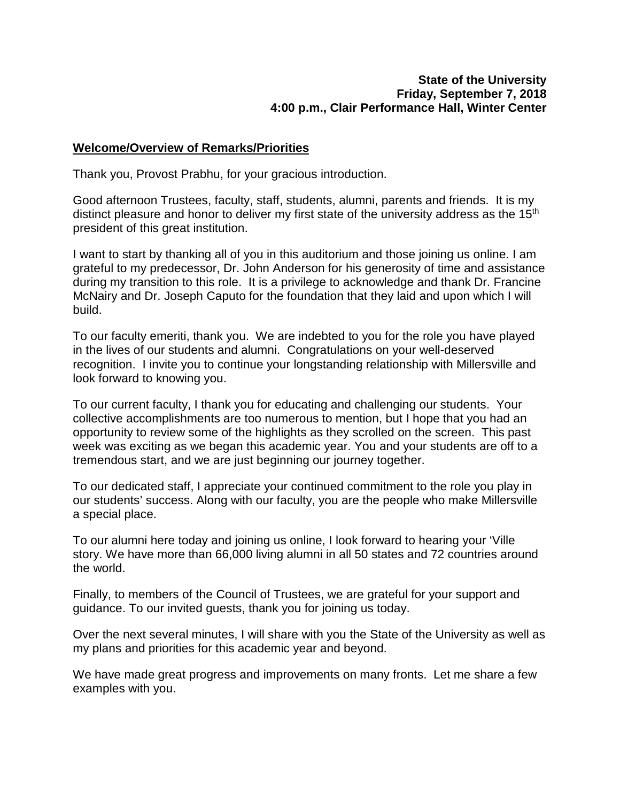## **State of the University Friday, September 7, 2018 4:00 p.m., Clair Performance Hall, Winter Center**

## **Welcome/Overview of Remarks/Priorities**

Thank you, Provost Prabhu, for your gracious introduction.

Good afternoon Trustees, faculty, staff, students, alumni, parents and friends. It is my distinct pleasure and honor to deliver my first state of the university address as the 15<sup>th</sup> president of this great institution.

I want to start by thanking all of you in this auditorium and those joining us online. I am grateful to my predecessor, Dr. John Anderson for his generosity of time and assistance during my transition to this role. It is a privilege to acknowledge and thank Dr. Francine McNairy and Dr. Joseph Caputo for the foundation that they laid and upon which I will build.

To our faculty emeriti, thank you. We are indebted to you for the role you have played in the lives of our students and alumni. Congratulations on your well-deserved recognition. I invite you to continue your longstanding relationship with Millersville and look forward to knowing you.

To our current faculty, I thank you for educating and challenging our students. Your collective accomplishments are too numerous to mention, but I hope that you had an opportunity to review some of the highlights as they scrolled on the screen. This past week was exciting as we began this academic year. You and your students are off to a tremendous start, and we are just beginning our journey together.

To our dedicated staff, I appreciate your continued commitment to the role you play in our students' success. Along with our faculty, you are the people who make Millersville a special place.

To our alumni here today and joining us online, I look forward to hearing your 'Ville story. We have more than 66,000 living alumni in all 50 states and 72 countries around the world.

Finally, to members of the Council of Trustees, we are grateful for your support and guidance. To our invited guests, thank you for joining us today.

Over the next several minutes, I will share with you the State of the University as well as my plans and priorities for this academic year and beyond.

We have made great progress and improvements on many fronts. Let me share a few examples with you.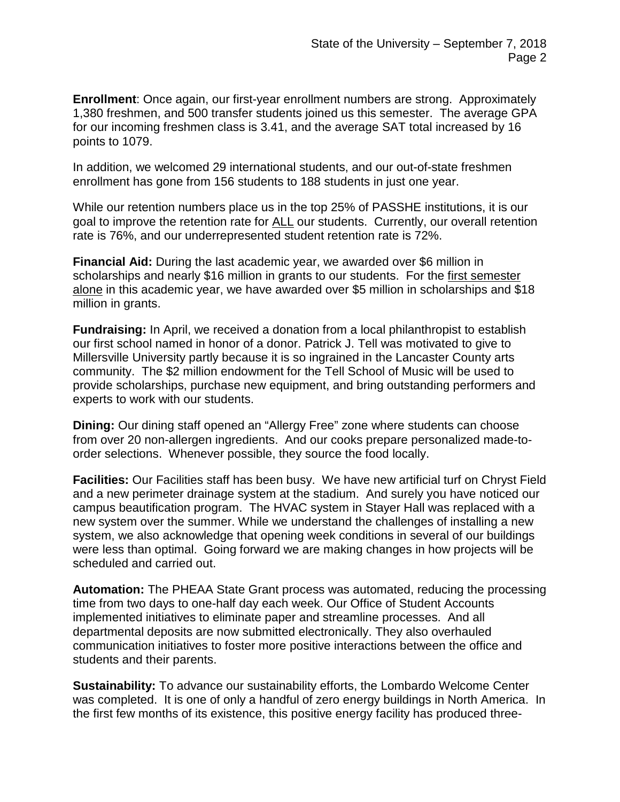**Enrollment**: Once again, our first-year enrollment numbers are strong. Approximately 1,380 freshmen, and 500 transfer students joined us this semester. The average GPA for our incoming freshmen class is 3.41, and the average SAT total increased by 16 points to 1079.

In addition, we welcomed 29 international students, and our out-of-state freshmen enrollment has gone from 156 students to 188 students in just one year.

While our retention numbers place us in the top 25% of PASSHE institutions, it is our goal to improve the retention rate for ALL our students. Currently, our overall retention rate is 76%, and our underrepresented student retention rate is 72%.

**Financial Aid:** During the last academic year, we awarded over \$6 million in scholarships and nearly \$16 million in grants to our students. For the first semester alone in this academic year, we have awarded over \$5 million in scholarships and \$18 million in grants.

**Fundraising:** In April, we received a donation from a local philanthropist to establish our first school named in honor of a donor. Patrick J. Tell was motivated to give to Millersville University partly because it is so ingrained in the Lancaster County arts community. The \$2 million endowment for the Tell School of Music will be used to provide scholarships, purchase new equipment, and bring outstanding performers and experts to work with our students.

**Dining:** Our dining staff opened an "Allergy Free" zone where students can choose from over 20 non-allergen ingredients. And our cooks prepare personalized made-toorder selections. Whenever possible, they source the food locally.

**Facilities:** Our Facilities staff has been busy. We have new artificial turf on Chryst Field and a new perimeter drainage system at the stadium. And surely you have noticed our campus beautification program. The HVAC system in Stayer Hall was replaced with a new system over the summer. While we understand the challenges of installing a new system, we also acknowledge that opening week conditions in several of our buildings were less than optimal. Going forward we are making changes in how projects will be scheduled and carried out.

**Automation:** The PHEAA State Grant process was automated, reducing the processing time from two days to one-half day each week. Our Office of Student Accounts implemented initiatives to eliminate paper and streamline processes. And all departmental deposits are now submitted electronically. They also overhauled communication initiatives to foster more positive interactions between the office and students and their parents.

**Sustainability:** To advance our sustainability efforts, the Lombardo Welcome Center was completed. It is one of only a handful of zero energy buildings in North America. In the first few months of its existence, this positive energy facility has produced three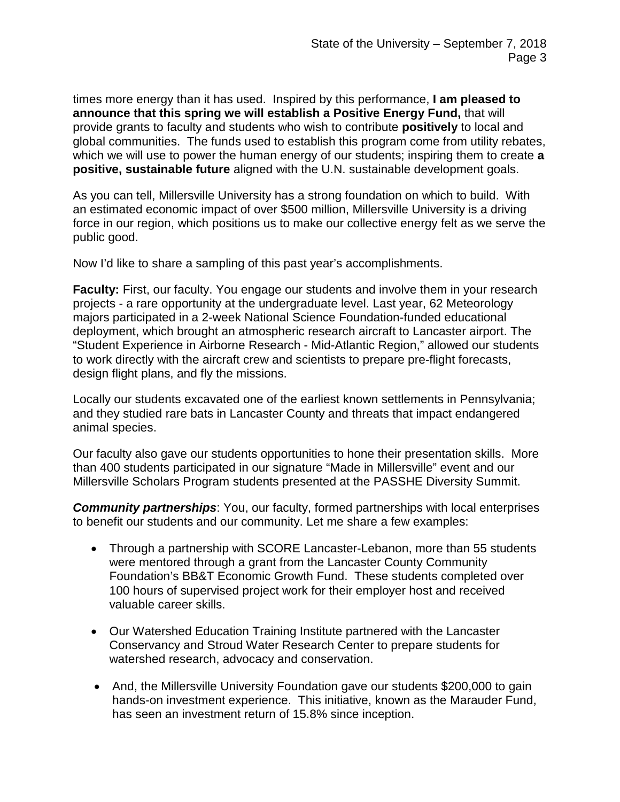times more energy than it has used. Inspired by this performance, **I am pleased to announce that this spring we will establish a Positive Energy Fund,** that will provide grants to faculty and students who wish to contribute **positively** to local and global communities. The funds used to establish this program come from utility rebates, which we will use to power the human energy of our students; inspiring them to create **a positive, sustainable future** aligned with the U.N. sustainable development goals.

As you can tell, Millersville University has a strong foundation on which to build. With an estimated economic impact of over \$500 million, Millersville University is a driving force in our region, which positions us to make our collective energy felt as we serve the public good.

Now I'd like to share a sampling of this past year's accomplishments.

**Faculty:** First, our faculty. You engage our students and involve them in your research projects - a rare opportunity at the undergraduate level. Last year, 62 Meteorology majors participated in a 2-week National Science Foundation-funded educational deployment, which brought an atmospheric research aircraft to Lancaster airport. The "Student Experience in Airborne Research - Mid-Atlantic Region," allowed our students to work directly with the aircraft crew and scientists to prepare pre-flight forecasts, design flight plans, and fly the missions.

Locally our students excavated one of the earliest known settlements in Pennsylvania; and they studied rare bats in Lancaster County and threats that impact endangered animal species.

Our faculty also gave our students opportunities to hone their presentation skills. More than 400 students participated in our signature "Made in Millersville" event and our Millersville Scholars Program students presented at the PASSHE Diversity Summit.

**Community partnerships:** You, our faculty, formed partnerships with local enterprises to benefit our students and our community. Let me share a few examples:

- Through a partnership with SCORE Lancaster-Lebanon, more than 55 students were mentored through a grant from the Lancaster County Community Foundation's BB&T Economic Growth Fund. These students completed over 100 hours of supervised project work for their employer host and received valuable career skills.
- Our Watershed Education Training Institute partnered with the Lancaster Conservancy and Stroud Water Research Center to prepare students for watershed research, advocacy and conservation.
- And, the Millersville University Foundation gave our students \$200,000 to gain hands-on investment experience. This initiative, known as the Marauder Fund, has seen an investment return of 15.8% since inception.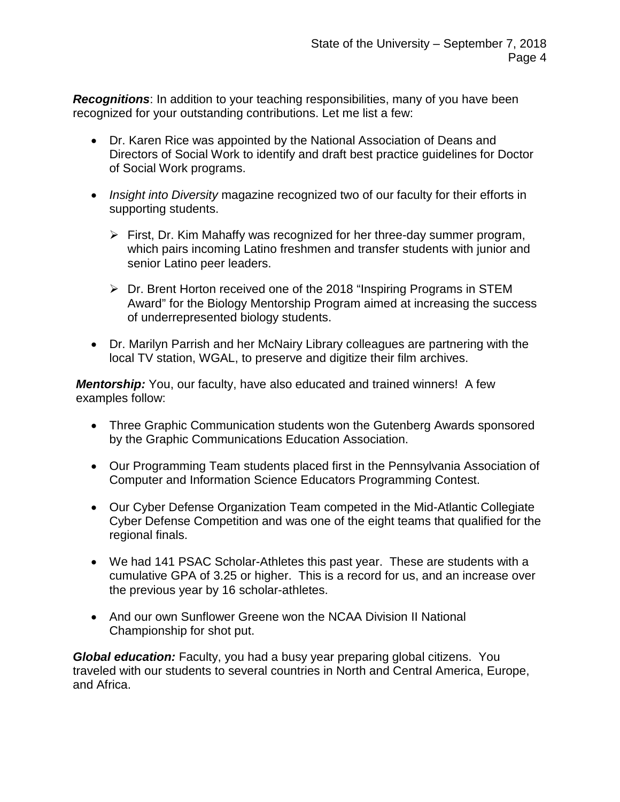*Recognitions*: In addition to your teaching responsibilities, many of you have been recognized for your outstanding contributions. Let me list a few:

- Dr. Karen Rice was appointed by the National Association of Deans and Directors of Social Work to identify and draft best practice guidelines for Doctor of Social Work programs.
- *Insight into Diversity* magazine recognized two of our faculty for their efforts in supporting students.
	- $\triangleright$  First, Dr. Kim Mahaffy was recognized for her three-day summer program, which pairs incoming Latino freshmen and transfer students with junior and senior Latino peer leaders.
	- Dr. Brent Horton received one of the 2018 "Inspiring Programs in STEM Award" for the Biology Mentorship Program aimed at increasing the success of underrepresented biology students.
- Dr. Marilyn Parrish and her McNairy Library colleagues are partnering with the local TV station, WGAL, to preserve and digitize their film archives.

*Mentorship:* You, our faculty, have also educated and trained winners! A few examples follow:

- Three Graphic Communication students won the Gutenberg Awards sponsored by the Graphic Communications Education Association.
- Our Programming Team students placed first in the Pennsylvania Association of Computer and Information Science Educators Programming Contest.
- Our Cyber Defense Organization Team competed in the Mid-Atlantic Collegiate Cyber Defense Competition and was one of the eight teams that qualified for the regional finals.
- We had 141 PSAC Scholar-Athletes this past year. These are students with a cumulative GPA of 3.25 or higher. This is a record for us, and an increase over the previous year by 16 scholar-athletes.
- And our own Sunflower Greene won the NCAA Division II National Championship for shot put.

*Global education:* Faculty, you had a busy year preparing global citizens. You traveled with our students to several countries in North and Central America, Europe, and Africa.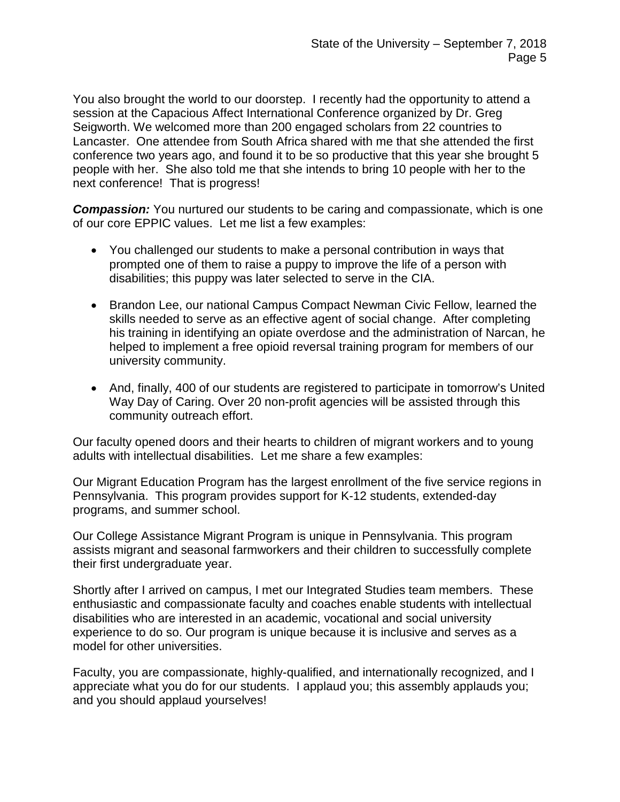You also brought the world to our doorstep. I recently had the opportunity to attend a session at the Capacious Affect International Conference organized by Dr. Greg Seigworth. We welcomed more than 200 engaged scholars from 22 countries to Lancaster. One attendee from South Africa shared with me that she attended the first conference two years ago, and found it to be so productive that this year she brought 5 people with her. She also told me that she intends to bring 10 people with her to the next conference! That is progress!

**Compassion:** You nurtured our students to be caring and compassionate, which is one of our core EPPIC values. Let me list a few examples:

- You challenged our students to make a personal contribution in ways that prompted one of them to raise a puppy to improve the life of a person with disabilities; this puppy was later selected to serve in the CIA.
- Brandon Lee, our national Campus Compact Newman Civic Fellow, learned the skills needed to serve as an effective agent of social change. After completing his training in identifying an opiate overdose and the administration of Narcan, he helped to implement a free opioid reversal training program for members of our university community.
- And, finally, 400 of our students are registered to participate in tomorrow's United Way Day of Caring. Over 20 non-profit agencies will be assisted through this community outreach effort.

Our faculty opened doors and their hearts to children of migrant workers and to young adults with intellectual disabilities. Let me share a few examples:

Our Migrant Education Program has the largest enrollment of the five service regions in Pennsylvania. This program provides support for K-12 students, extended-day programs, and summer school.

Our College Assistance Migrant Program is unique in Pennsylvania. This program assists migrant and seasonal farmworkers and their children to successfully complete their first undergraduate year.

Shortly after I arrived on campus, I met our Integrated Studies team members. These enthusiastic and compassionate faculty and coaches enable students with intellectual disabilities who are interested in an academic, vocational and social university experience to do so. Our program is unique because it is inclusive and serves as a model for other universities.

Faculty, you are compassionate, highly-qualified, and internationally recognized, and I appreciate what you do for our students. I applaud you; this assembly applauds you; and you should applaud yourselves!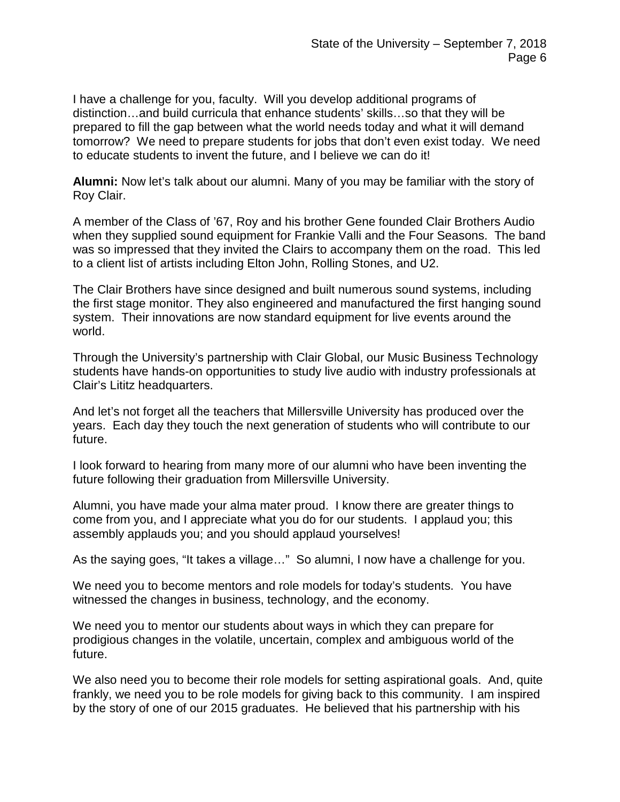I have a challenge for you, faculty. Will you develop additional programs of distinction…and build curricula that enhance students' skills…so that they will be prepared to fill the gap between what the world needs today and what it will demand tomorrow? We need to prepare students for jobs that don't even exist today. We need to educate students to invent the future, and I believe we can do it!

**Alumni:** Now let's talk about our alumni. Many of you may be familiar with the story of Roy Clair.

A member of the Class of '67, Roy and his brother Gene founded Clair Brothers Audio when they supplied sound equipment for Frankie Valli and the Four Seasons. The band was so impressed that they invited the Clairs to accompany them on the road. This led to a client list of artists including Elton John, Rolling Stones, and U2.

The Clair Brothers have since designed and built numerous sound systems, including the first stage monitor. They also engineered and manufactured the first hanging sound system. Their innovations are now standard equipment for live events around the world.

Through the University's partnership with Clair Global, our Music Business Technology students have hands-on opportunities to study live audio with industry professionals at Clair's Lititz headquarters.

And let's not forget all the teachers that Millersville University has produced over the years. Each day they touch the next generation of students who will contribute to our future.

I look forward to hearing from many more of our alumni who have been inventing the future following their graduation from Millersville University.

Alumni, you have made your alma mater proud. I know there are greater things to come from you, and I appreciate what you do for our students. I applaud you; this assembly applauds you; and you should applaud yourselves!

As the saying goes, "It takes a village…" So alumni, I now have a challenge for you.

We need you to become mentors and role models for today's students. You have witnessed the changes in business, technology, and the economy.

We need you to mentor our students about ways in which they can prepare for prodigious changes in the volatile, uncertain, complex and ambiguous world of the future.

We also need you to become their role models for setting aspirational goals. And, quite frankly, we need you to be role models for giving back to this community. I am inspired by the story of one of our 2015 graduates. He believed that his partnership with his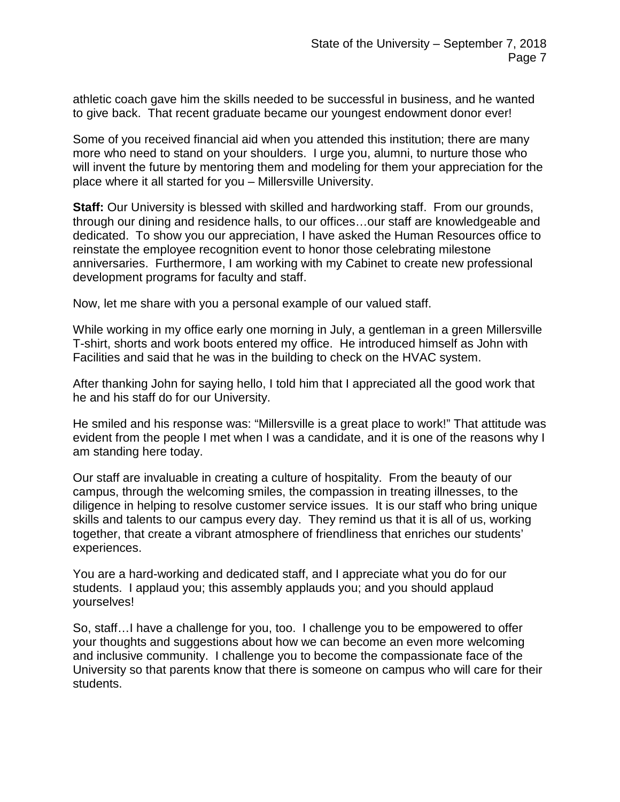athletic coach gave him the skills needed to be successful in business, and he wanted to give back. That recent graduate became our youngest endowment donor ever!

Some of you received financial aid when you attended this institution; there are many more who need to stand on your shoulders. I urge you, alumni, to nurture those who will invent the future by mentoring them and modeling for them your appreciation for the place where it all started for you – Millersville University.

**Staff:** Our University is blessed with skilled and hardworking staff. From our grounds, through our dining and residence halls, to our offices…our staff are knowledgeable and dedicated. To show you our appreciation, I have asked the Human Resources office to reinstate the employee recognition event to honor those celebrating milestone anniversaries. Furthermore, I am working with my Cabinet to create new professional development programs for faculty and staff.

Now, let me share with you a personal example of our valued staff.

While working in my office early one morning in July, a gentleman in a green Millersville T-shirt, shorts and work boots entered my office. He introduced himself as John with Facilities and said that he was in the building to check on the HVAC system.

After thanking John for saying hello, I told him that I appreciated all the good work that he and his staff do for our University.

He smiled and his response was: "Millersville is a great place to work!" That attitude was evident from the people I met when I was a candidate, and it is one of the reasons why I am standing here today.

Our staff are invaluable in creating a culture of hospitality. From the beauty of our campus, through the welcoming smiles, the compassion in treating illnesses, to the diligence in helping to resolve customer service issues. It is our staff who bring unique skills and talents to our campus every day. They remind us that it is all of us, working together, that create a vibrant atmosphere of friendliness that enriches our students' experiences.

You are a hard-working and dedicated staff, and I appreciate what you do for our students. I applaud you; this assembly applauds you; and you should applaud yourselves!

So, staff…I have a challenge for you, too. I challenge you to be empowered to offer your thoughts and suggestions about how we can become an even more welcoming and inclusive community. I challenge you to become the compassionate face of the University so that parents know that there is someone on campus who will care for their students.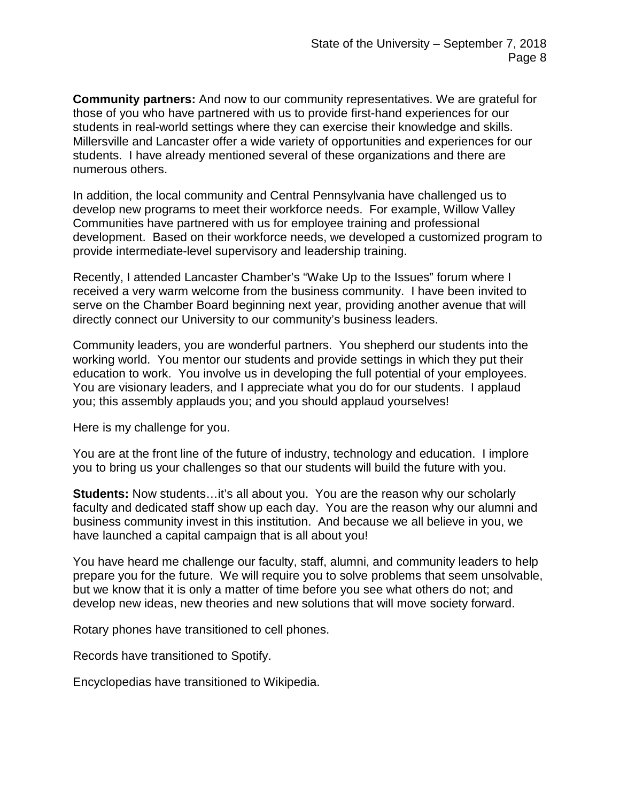**Community partners:** And now to our community representatives. We are grateful for those of you who have partnered with us to provide first-hand experiences for our students in real-world settings where they can exercise their knowledge and skills. Millersville and Lancaster offer a wide variety of opportunities and experiences for our students. I have already mentioned several of these organizations and there are numerous others.

In addition, the local community and Central Pennsylvania have challenged us to develop new programs to meet their workforce needs. For example, Willow Valley Communities have partnered with us for employee training and professional development. Based on their workforce needs, we developed a customized program to provide intermediate-level supervisory and leadership training.

Recently, I attended Lancaster Chamber's "Wake Up to the Issues" forum where I received a very warm welcome from the business community. I have been invited to serve on the Chamber Board beginning next year, providing another avenue that will directly connect our University to our community's business leaders.

Community leaders, you are wonderful partners. You shepherd our students into the working world. You mentor our students and provide settings in which they put their education to work. You involve us in developing the full potential of your employees. You are visionary leaders, and I appreciate what you do for our students. I applaud you; this assembly applauds you; and you should applaud yourselves!

Here is my challenge for you.

You are at the front line of the future of industry, technology and education. I implore you to bring us your challenges so that our students will build the future with you.

**Students:** Now students…it's all about you. You are the reason why our scholarly faculty and dedicated staff show up each day. You are the reason why our alumni and business community invest in this institution. And because we all believe in you, we have launched a capital campaign that is all about you!

You have heard me challenge our faculty, staff, alumni, and community leaders to help prepare you for the future. We will require you to solve problems that seem unsolvable, but we know that it is only a matter of time before you see what others do not; and develop new ideas, new theories and new solutions that will move society forward.

Rotary phones have transitioned to cell phones.

Records have transitioned to Spotify.

Encyclopedias have transitioned to Wikipedia.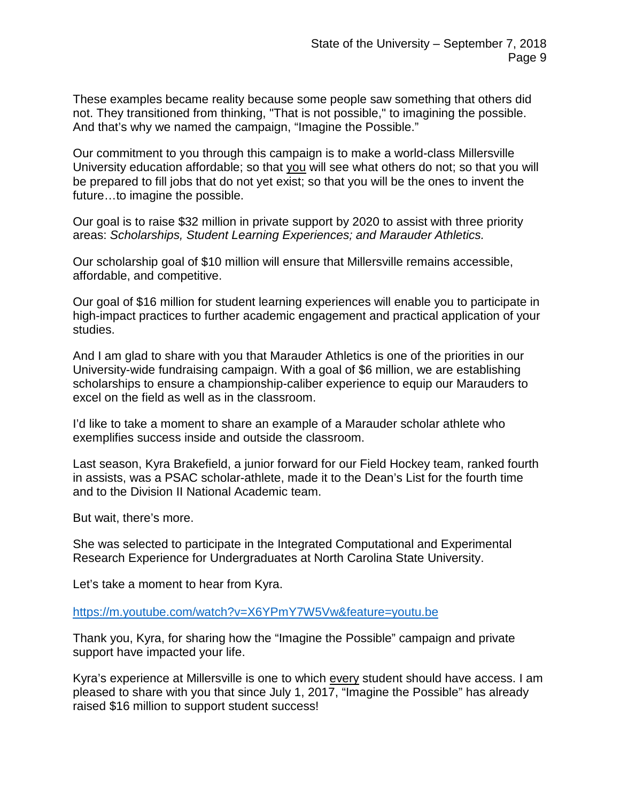These examples became reality because some people saw something that others did not. They transitioned from thinking, "That is not possible," to imagining the possible. And that's why we named the campaign, "Imagine the Possible."

Our commitment to you through this campaign is to make a world-class Millersville University education affordable; so that you will see what others do not; so that you will be prepared to fill jobs that do not yet exist; so that you will be the ones to invent the future…to imagine the possible.

Our goal is to raise \$32 million in private support by 2020 to assist with three priority areas: *Scholarships, Student Learning Experiences; and Marauder Athletics.*

Our scholarship goal of \$10 million will ensure that Millersville remains accessible, affordable, and competitive.

Our goal of \$16 million for student learning experiences will enable you to participate in high-impact practices to further academic engagement and practical application of your studies.

And I am glad to share with you that Marauder Athletics is one of the priorities in our University-wide fundraising campaign. With a goal of \$6 million, we are establishing scholarships to ensure a championship-caliber experience to equip our Marauders to excel on the field as well as in the classroom.

I'd like to take a moment to share an example of a Marauder scholar athlete who exemplifies success inside and outside the classroom.

Last season, Kyra Brakefield, a junior forward for our Field Hockey team, ranked fourth in assists, was a PSAC scholar-athlete, made it to the Dean's List for the fourth time and to the Division II National Academic team.

But wait, there's more.

She was selected to participate in the Integrated Computational and Experimental Research Experience for Undergraduates at North Carolina State University.

Let's take a moment to hear from Kyra.

<https://m.youtube.com/watch?v=X6YPmY7W5Vw&feature=youtu.be>

Thank you, Kyra, for sharing how the "Imagine the Possible" campaign and private support have impacted your life.

Kyra's experience at Millersville is one to which every student should have access. I am pleased to share with you that since July 1, 2017, "Imagine the Possible" has already raised \$16 million to support student success!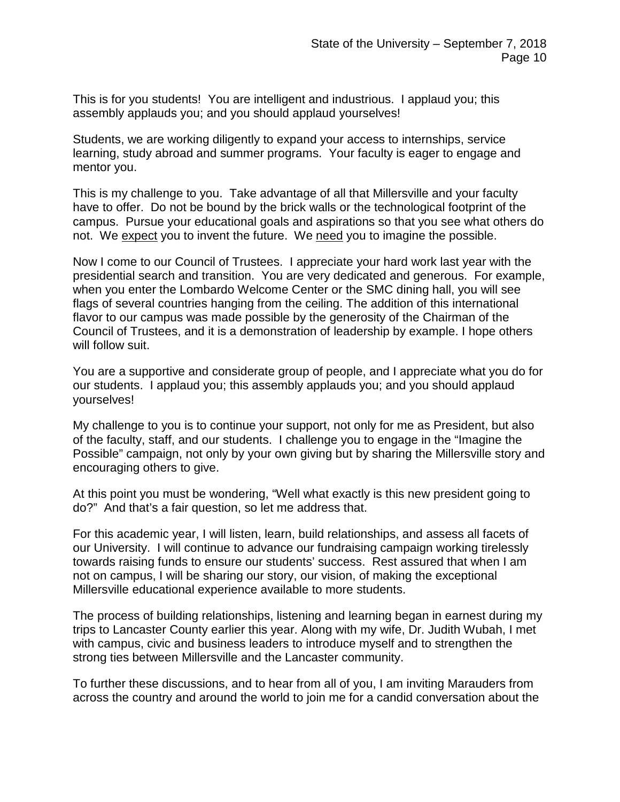This is for you students! You are intelligent and industrious. I applaud you; this assembly applauds you; and you should applaud yourselves!

Students, we are working diligently to expand your access to internships, service learning, study abroad and summer programs. Your faculty is eager to engage and mentor you.

This is my challenge to you. Take advantage of all that Millersville and your faculty have to offer. Do not be bound by the brick walls or the technological footprint of the campus. Pursue your educational goals and aspirations so that you see what others do not. We expect you to invent the future. We need you to imagine the possible.

Now I come to our Council of Trustees. I appreciate your hard work last year with the presidential search and transition. You are very dedicated and generous. For example, when you enter the Lombardo Welcome Center or the SMC dining hall, you will see flags of several countries hanging from the ceiling. The addition of this international flavor to our campus was made possible by the generosity of the Chairman of the Council of Trustees, and it is a demonstration of leadership by example. I hope others will follow suit.

You are a supportive and considerate group of people, and I appreciate what you do for our students. I applaud you; this assembly applauds you; and you should applaud yourselves!

My challenge to you is to continue your support, not only for me as President, but also of the faculty, staff, and our students. I challenge you to engage in the "Imagine the Possible" campaign, not only by your own giving but by sharing the Millersville story and encouraging others to give.

At this point you must be wondering, "Well what exactly is this new president going to do?" And that's a fair question, so let me address that.

For this academic year, I will listen, learn, build relationships, and assess all facets of our University. I will continue to advance our fundraising campaign working tirelessly towards raising funds to ensure our students' success. Rest assured that when I am not on campus, I will be sharing our story, our vision, of making the exceptional Millersville educational experience available to more students.

The process of building relationships, listening and learning began in earnest during my trips to Lancaster County earlier this year. Along with my wife, Dr. Judith Wubah, I met with campus, civic and business leaders to introduce myself and to strengthen the strong ties between Millersville and the Lancaster community.

To further these discussions, and to hear from all of you, I am inviting Marauders from across the country and around the world to join me for a candid conversation about the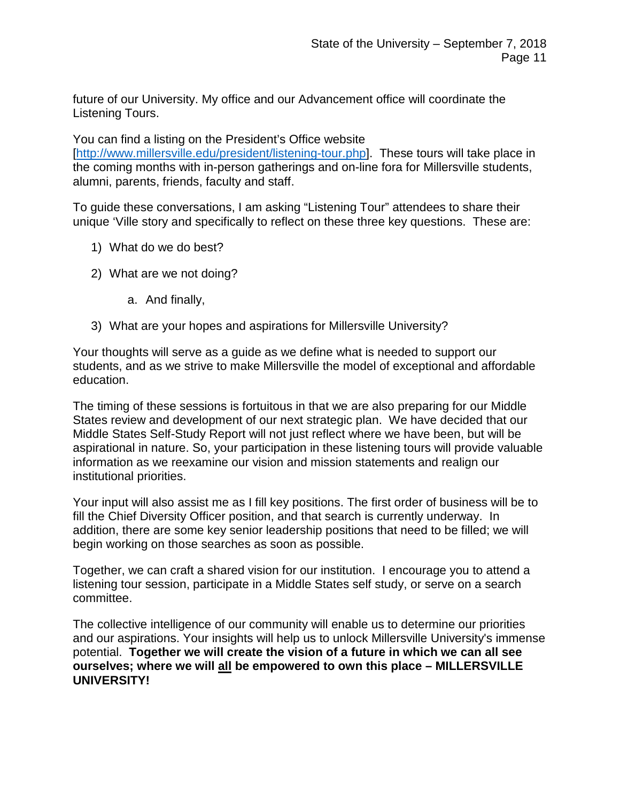future of our University. My office and our Advancement office will coordinate the Listening Tours.

You can find a listing on the President's Office website [\[http://www.millersville.edu/president/listening-tour.php\]](http://www.millersville.edu/president/listening-tour.php). These tours will take place in the coming months with in-person gatherings and on-line fora for Millersville students, alumni, parents, friends, faculty and staff.

To guide these conversations, I am asking "Listening Tour" attendees to share their unique 'Ville story and specifically to reflect on these three key questions. These are:

- 1) What do we do best?
- 2) What are we not doing?
	- a. And finally,
- 3) What are your hopes and aspirations for Millersville University?

Your thoughts will serve as a guide as we define what is needed to support our students, and as we strive to make Millersville the model of exceptional and affordable education.

The timing of these sessions is fortuitous in that we are also preparing for our Middle States review and development of our next strategic plan. We have decided that our Middle States Self-Study Report will not just reflect where we have been, but will be aspirational in nature. So, your participation in these listening tours will provide valuable information as we reexamine our vision and mission statements and realign our institutional priorities.

Your input will also assist me as I fill key positions. The first order of business will be to fill the Chief Diversity Officer position, and that search is currently underway. In addition, there are some key senior leadership positions that need to be filled; we will begin working on those searches as soon as possible.

Together, we can craft a shared vision for our institution. I encourage you to attend a listening tour session, participate in a Middle States self study, or serve on a search committee.

The collective intelligence of our community will enable us to determine our priorities and our aspirations. Your insights will help us to unlock Millersville University's immense potential. **Together we will create the vision of a future in which we can all see ourselves; where we will all be empowered to own this place – MILLERSVILLE UNIVERSITY!**